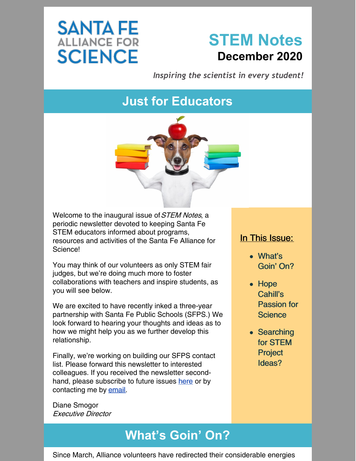# **SANTA FE**<br>ALLIANCE FOR **SCIENCE**



*Inspiring the scientist in every student!*

# **Just for Educators**



Welcome to the inaugural issue of *STEM Notes*, a periodic newsletter devoted to keeping Santa Fe STEM educators informed about programs, resources and activities of the Santa Fe Alliance for Science!

You may think of our volunteers as only STEM fair judges, but we're doing much more to foster collaborations with teachers and inspire students, as you will see below.

We are excited to have recently inked a three-year partnership with Santa Fe Public Schools (SFPS.) We look forward to hearing your thoughts and ideas as to how we might help you as we further develop this relationship.

Finally, we're working on building our SFPS contact list. Please forward this newsletter to interested colleagues. If you received the newsletter secondhand, please subscribe to future issues [here](https://www.sfafs.org/) or by contacting me by [email](mailto:info@sfafs.org).

Diane Smogor Executive Director

## **What's Goin' On?**

#### In This Issue:

- What's Goin' On?
- Hope Cahill's Passion for **Science**
- Searching for STEM Project Ideas?

Since March, Alliance volunteers have redirected their considerable energies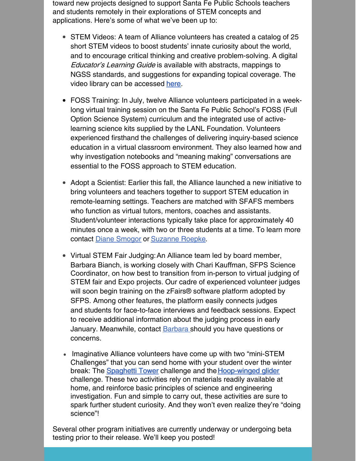toward new projects designed to support Santa Fe Public Schools teachers and students remotely in their explorations of STEM concepts and applications. Here's some of what we've been up to:

- STEM Videos: A team of Alliance volunteers has created a catalog of 25 short STEM videos to boost students' innate curiosity about the world, and to encourage critical thinking and creative problem-solving. A digital Educator's Learning Guide is available with abstracts, mappings to NGSS standards, and suggestions for expanding topical coverage. The video library can be accessed [here](https://drive.google.com/drive/folders/122sqmrrjeJfDBctRC7P6TpA9jWXuFuLP).
- FOSS Training: In July, twelve Alliance volunteers participated in a weeklong virtual training session on the Santa Fe Public School's FOSS (Full Option Science System) curriculum and the integrated use of activelearning science kits supplied by the LANL Foundation. Volunteers experienced firsthand the challenges of delivering inquiry-based science education in a virtual classroom environment. They also learned how and why investigation notebooks and "meaning making" conversations are essential to the FOSS approach to STEM education.
- Adopt a Scientist: Earlier this fall, the Alliance launched a new initiative to bring volunteers and teachers together to support STEM education in remote-learning settings. Teachers are matched with SFAFS members who function as virtual tutors, mentors, coaches and assistants. Student/volunteer interactions typically take place for approximately 40 minutes once a week, with two or three students at a time. To learn more contact Diane [Smogor](mailto:info@sfafs.org) or [Suzanne](mailto:suzanne.roepke@sfafs.org) Roepke.
- Virtual STEM Fair Judging: An Alliance team led by board member, Barbara Bianch, is working closely with Chari Kauffman, SFPS Science Coordinator, on how best to transition from in-person to virtual judging of STEM fair and Expo projects. Our cadre of experienced volunteer judges will soon begin training on the zFairs<sup>®</sup> software platform adopted by SFPS. Among other features, the platform easily connects judges and students for face-to-face interviews and feedback sessions. Expect to receive additional information about the judging process in early January. Meanwhile, contact **[Barbara](mailto:barbara.bianchi@sfafs.org)** should you have questions or concerns.
- Imaginative Alliance volunteers have come up with two "mini-STEM Challenges" that you can send home with your student over the winter break: The [Spaghetti](https://files.constantcontact.com/1497272b601/bb4c32af-a6f0-45a8-a23f-434cae1dc540.pdf) Tower challenge and the [Hoop-winged](https://files.constantcontact.com/1497272b601/7870af37-2eec-4c59-a675-b9fd6e6289e4.pdf) glider challenge. These two activities rely on materials readily available at home, and reinforce basic principles of science and engineering investigation. Fun and simple to carry out, these activities are sure to spark further student curiosity. And they won't even realize they're "doing science"!

Several other program initiatives are currently underway or undergoing beta testing prior to their release. We'll keep you posted!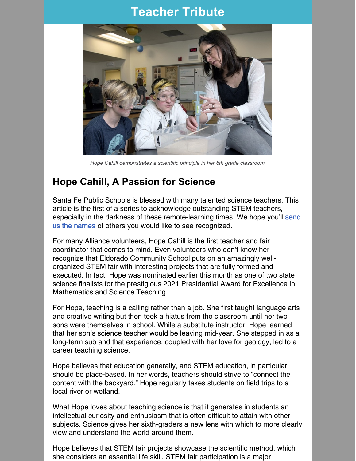## **Teacher Tribute**



*Hope Cahill demonstrates a scientific principle in her 6th grade classroom.*

### **Hope Cahill, A Passion for Science**

Santa Fe Public Schools is blessed with many talented science teachers. This article is the first of a series to acknowledge outstanding STEM teachers, especially in the darkness of these [remote-learning](mailto:info@sfafs.org) times. We hope you'll send us the names of others you would like to see recognized.

For many Alliance volunteers, Hope Cahill is the first teacher and fair coordinator that comes to mind. Even volunteers who don't know her recognize that Eldorado Community School puts on an amazingly wellorganized STEM fair with interesting projects that are fully formed and executed. In fact, Hope was nominated earlier this month as one of two state science finalists for the prestigious 2021 Presidential Award for Excellence in Mathematics and Science Teaching.

For Hope, teaching is a calling rather than a job. She first taught language arts and creative writing but then took a hiatus from the classroom until her two sons were themselves in school. While a substitute instructor, Hope learned that her son's science teacher would be leaving mid-year. She stepped in as a long-term sub and that experience, coupled with her love for geology, led to a career teaching science.

Hope believes that education generally, and STEM education, in particular, should be place-based. In her words, teachers should strive to "connect the content with the backyard." Hope regularly takes students on field trips to a local river or wetland.

What Hope loves about teaching science is that it generates in students an intellectual curiosity and enthusiasm that is often difficult to attain with other subjects. Science gives her sixth-graders a new lens with which to more clearly view and understand the world around them.

Hope believes that STEM fair projects showcase the scientific method, which she considers an essential life skill. STEM fair participation is a major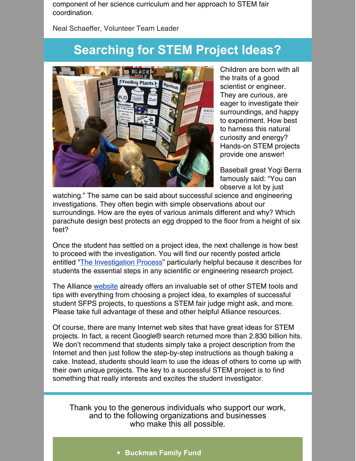component of her science curriculum and her approach to STEM fair coordination.

Neal Schaeffer, Volunteer Team Leader

## **Searching for STEM Project Ideas?**



Children are born with all the traits of a good scientist or engineer. They are curious, are eager to investigate their surroundings, and happy to experiment. How best to harness this natural curiosity and energy? Hands-on STEM projects provide one answer!

Baseball great Yogi Berra famously said: "You can observe a lot by just

watching." The same can be said about successful science and engineering investigations. They often begin with simple observations about our surroundings. How are the eyes of various animals different and why? Which parachute design best protects an egg dropped to the floor from a height of six feet?

Once the student has settled on a project idea, the next challenge is how best to proceed with the investigation. You will find our recently posted article entitled "The [Investigation](https://www.sfafs.org/uploads/3/8/5/1/38512661/stem_investigations_dec2020.pdf) Process" particularly helpful because it describes for students the essential steps in any scientific or engineering research project.

The Alliance [website](https://www.sfafs.org/stem-fairs.html) already offers an invaluable set of other STEM tools and tips with everything from choosing a project idea, to examples of successful student SFPS projects, to questions a STEM fair judge might ask, and more. Please take full advantage of these and other helpful Alliance resources.

Of course, there are many Internet web sites that have great ideas for STEM projects. In fact, a recent Google® search returned more than 2.830 billion hits. We don't recommend that students simply take a project description from the Internet and then just follow the step-by-step instructions as though baking a cake. Instead, students should learn to use the ideas of others to come up with their own unique projects. The key to a successful STEM project is to find something that really interests and excites the student investigator.

Thank you to the generous individuals who support our work, and to the following organizations and businesses who make this all possible.

**Buckman Family Fund**